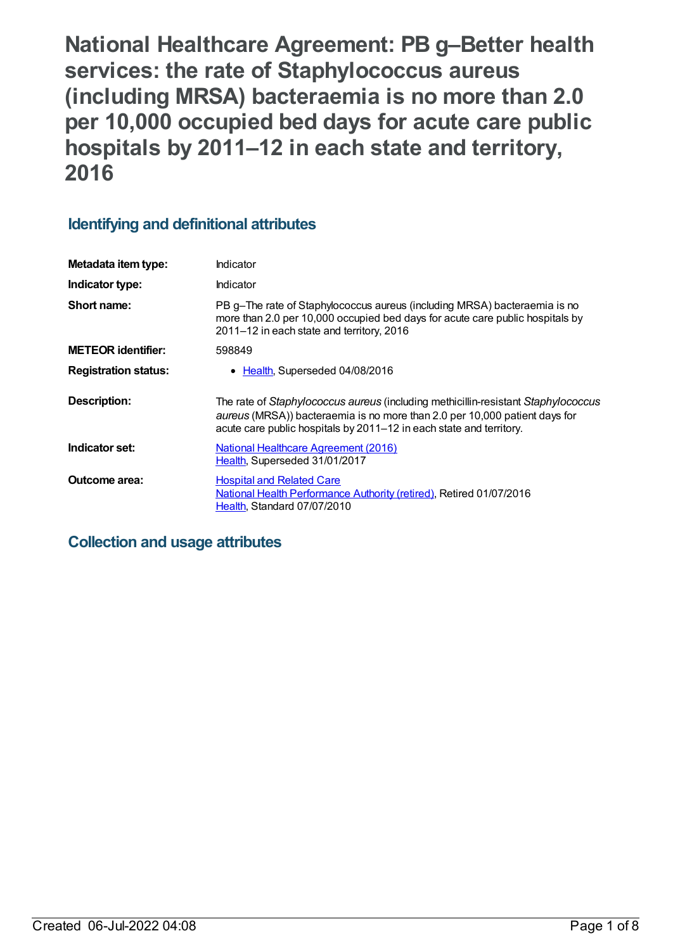**National Healthcare Agreement: PB g–Better health services: the rate of Staphylococcus aureus (including MRSA) bacteraemia is no more than 2.0 per 10,000 occupied bed days for acute care public hospitals by 2011–12 in each state and territory, 2016**

# **Identifying and definitional attributes**

| Metadata item type:         | Indicator                                                                                                                                                                                                                              |
|-----------------------------|----------------------------------------------------------------------------------------------------------------------------------------------------------------------------------------------------------------------------------------|
| Indicator type:             | Indicator                                                                                                                                                                                                                              |
| Short name:                 | PB g-The rate of Staphylococcus aureus (including MRSA) bacteraemia is no<br>more than 2.0 per 10,000 occupied bed days for acute care public hospitals by<br>2011-12 in each state and territory, 2016                                |
| <b>METEOR identifier:</b>   | 598849                                                                                                                                                                                                                                 |
| <b>Registration status:</b> | Health, Superseded 04/08/2016                                                                                                                                                                                                          |
| <b>Description:</b>         | The rate of Staphylococcus aureus (including methicillin-resistant Staphylococcus<br>aureus (MRSA)) bacteraemia is no more than 2.0 per 10,000 patient days for<br>acute care public hospitals by 2011–12 in each state and territory. |
| Indicator set:              | <b>National Healthcare Agreement (2016)</b><br>Health, Superseded 31/01/2017                                                                                                                                                           |
| <b>Outcome area:</b>        | <b>Hospital and Related Care</b><br>National Health Performance Authority (retired), Retired 01/07/2016<br>Health, Standard 07/07/2010                                                                                                 |

# **Collection and usage attributes**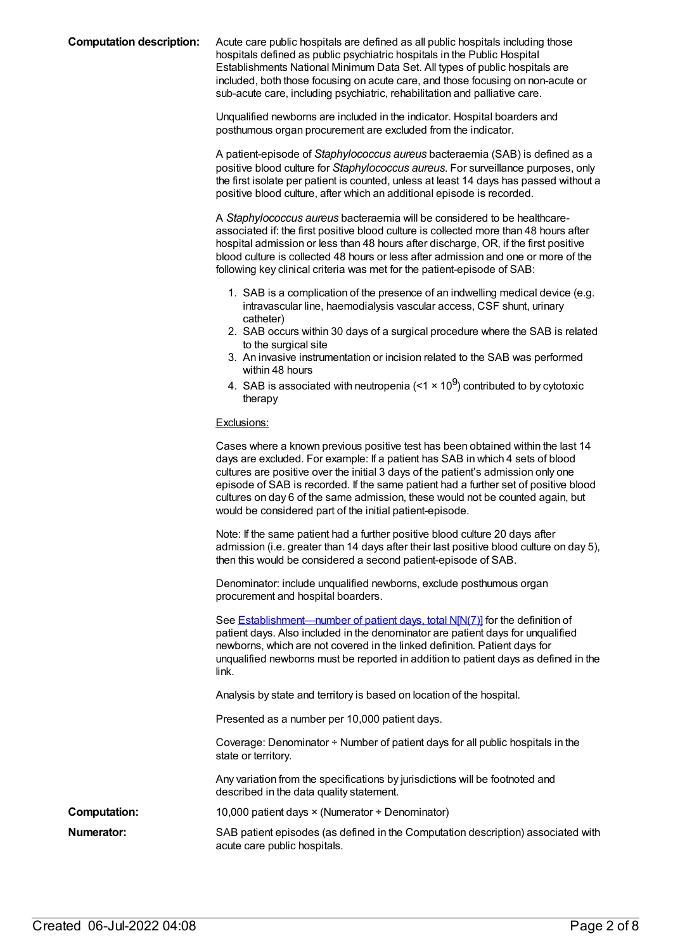**Computation description:** Acute care public hospitals are defined as all public hospitals including those hospitals defined as public psychiatric hospitals in the Public Hospital Establishments National Minimum Data Set. All types of public hospitals are included, both those focusing on acute care, and those focusing on non-acute or sub-acute care, including psychiatric, rehabilitation and palliative care.

> Unqualified newborns are included in the indicator. Hospital boarders and posthumous organ procurement are excluded from the indicator.

A patient-episode of *Staphylococcus aureus* bacteraemia (SAB) is defined as a positive blood culture for *Staphylococcus aureus*. For surveillance purposes, only the first isolate per patient is counted, unless at least 14 days has passed without a positive blood culture, after which an additional episode is recorded.

A *Staphylococcus aureus* bacteraemia will be considered to be healthcareassociated if: the first positive blood culture is collected more than 48 hours after hospital admission or less than 48 hours after discharge, OR, if the first positive blood culture is collected 48 hours or less after admission and one or more of the following key clinical criteria was met for the patient-episode of SAB:

- 1. SAB is a complication of the presence of an indwelling medical device (e.g. intravascular line, haemodialysis vascular access, CSF shunt, urinary catheter)
- 2. SAB occurs within 30 days of a surgical procedure where the SAB is related to the surgical site
- 3. An invasive instrumentation or incision related to the SAB was performed within 48 hours
- 4. SAB is associated with neutropenia (<1  $\times$  10<sup>9</sup>) contributed to by cytotoxic therapy

#### Exclusions:

|                     | Cases where a known previous positive test has been obtained within the last 14<br>days are excluded. For example: If a patient has SAB in which 4 sets of blood<br>cultures are positive over the initial 3 days of the patient's admission only one<br>episode of SAB is recorded. If the same patient had a further set of positive blood<br>cultures on day 6 of the same admission, these would not be counted again, but<br>would be considered part of the initial patient-episode. |
|---------------------|--------------------------------------------------------------------------------------------------------------------------------------------------------------------------------------------------------------------------------------------------------------------------------------------------------------------------------------------------------------------------------------------------------------------------------------------------------------------------------------------|
|                     | Note: If the same patient had a further positive blood culture 20 days after<br>admission (i.e. greater than 14 days after their last positive blood culture on day 5),<br>then this would be considered a second patient-episode of SAB.                                                                                                                                                                                                                                                  |
|                     | Denominator: include unqualified newborns, exclude posthumous organ<br>procurement and hospital boarders.                                                                                                                                                                                                                                                                                                                                                                                  |
|                     | See <b>Establishment—number of patient days, total N[N(7)]</b> for the definition of<br>patient days. Also included in the denominator are patient days for unqualified<br>newborns, which are not covered in the linked definition. Patient days for<br>unqualified newborns must be reported in addition to patient days as defined in the<br>link.                                                                                                                                      |
|                     | Analysis by state and territory is based on location of the hospital.                                                                                                                                                                                                                                                                                                                                                                                                                      |
|                     | Presented as a number per 10,000 patient days.                                                                                                                                                                                                                                                                                                                                                                                                                                             |
|                     | Coverage: Denominator + Number of patient days for all public hospitals in the<br>state or territory.                                                                                                                                                                                                                                                                                                                                                                                      |
|                     | Any variation from the specifications by jurisdictions will be footnoted and<br>described in the data quality statement.                                                                                                                                                                                                                                                                                                                                                                   |
| <b>Computation:</b> | 10,000 patient days $\times$ (Numerator ÷ Denominator)                                                                                                                                                                                                                                                                                                                                                                                                                                     |
| <b>Numerator:</b>   | SAB patient episodes (as defined in the Computation description) associated with<br>acute care public hospitals.                                                                                                                                                                                                                                                                                                                                                                           |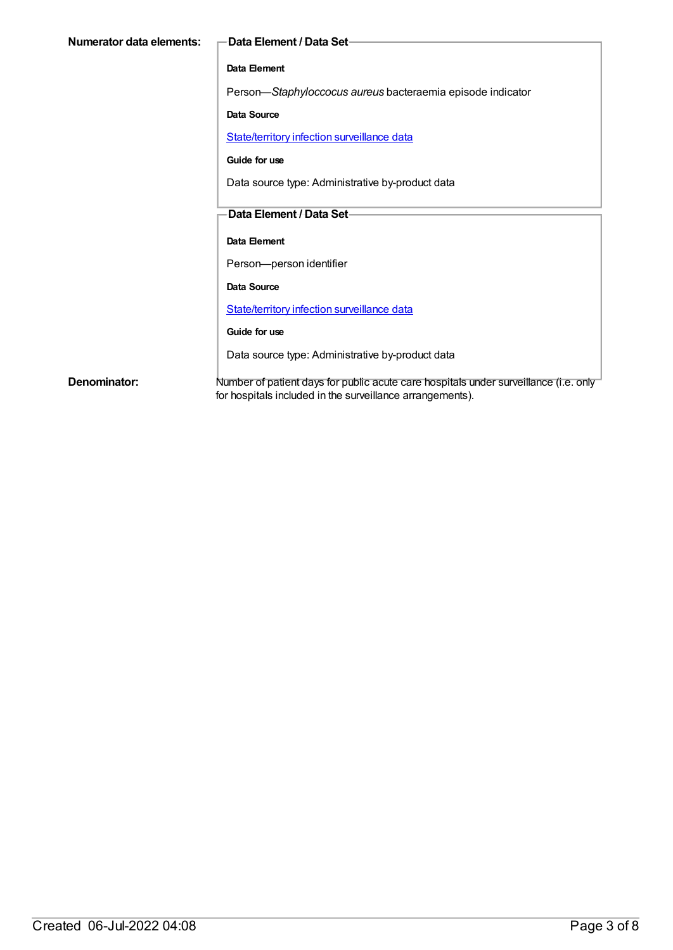| Numerator data elements: | -Data Element / Data Set-                                                                                                                         |
|--------------------------|---------------------------------------------------------------------------------------------------------------------------------------------------|
|                          | Data Element                                                                                                                                      |
|                          | Person-Staphyloccocus aureus bacteraemia episode indicator                                                                                        |
|                          | Data Source                                                                                                                                       |
|                          | State/territory infection surveillance data                                                                                                       |
|                          | Guide for use                                                                                                                                     |
|                          | Data source type: Administrative by-product data                                                                                                  |
|                          | Data Element / Data Set-                                                                                                                          |
|                          |                                                                                                                                                   |
|                          | Data Element                                                                                                                                      |
|                          | Person-person identifier                                                                                                                          |
|                          | Data Source                                                                                                                                       |
|                          | State/territory infection surveillance data                                                                                                       |
|                          | Guide for use                                                                                                                                     |
|                          | Data source type: Administrative by-product data                                                                                                  |
| Denominator:             | Number of patient days for public acute care hospitals under surveillance (i.e. only<br>for hospitals included in the surveillance arrangements). |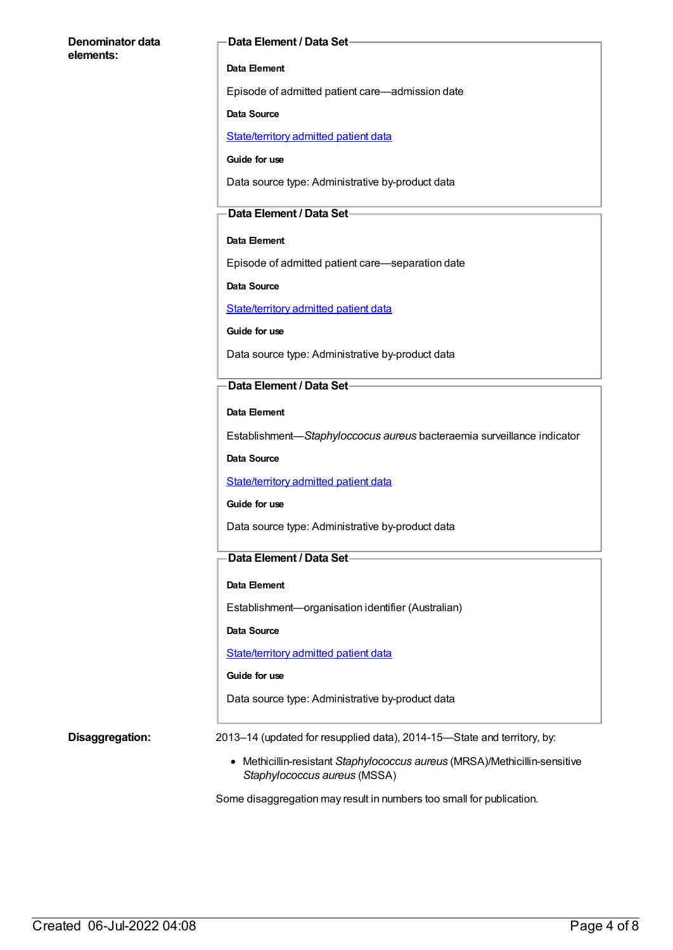#### **Denominator data elements:**

#### **Data Element / Data Set**

#### **Data Element**

Episode of admitted patient care—admission date

#### **Data Source**

[State/territory](https://meteor.aihw.gov.au/content/426458) admitted patient data

**Guide for use**

Data source type: Administrative by-product data

#### **Data Element / Data Set**

#### **Data Element**

Episode of admitted patient care—separation date

**Data Source**

[State/territory](https://meteor.aihw.gov.au/content/426458) admitted patient data

**Guide for use**

Data source type: Administrative by-product data

#### **Data Element / Data Set**

**Data Element**

Establishment—*Staphyloccocus aureus* bacteraemia surveillance indicator

**Data Source**

[State/territory](https://meteor.aihw.gov.au/content/426458) admitted patient data

#### **Guide for use**

Data source type: Administrative by-product data

#### **Data Element / Data Set**

#### **Data Element**

Establishment—organisation identifier (Australian)

**Data Source**

[State/territory](https://meteor.aihw.gov.au/content/426458) admitted patient data

#### **Guide for use**

Data source type: Administrative by-product data

**Disaggregation:** 2013–14 (updated for resupplied data), 2014-15–State and territory, by:

Methicillin-resistant *Staphylococcus aureus* (MRSA)/Methicillin-sensitive *Staphylococcus aureus* (MSSA)

Some disaggregation may result in numbers too small for publication.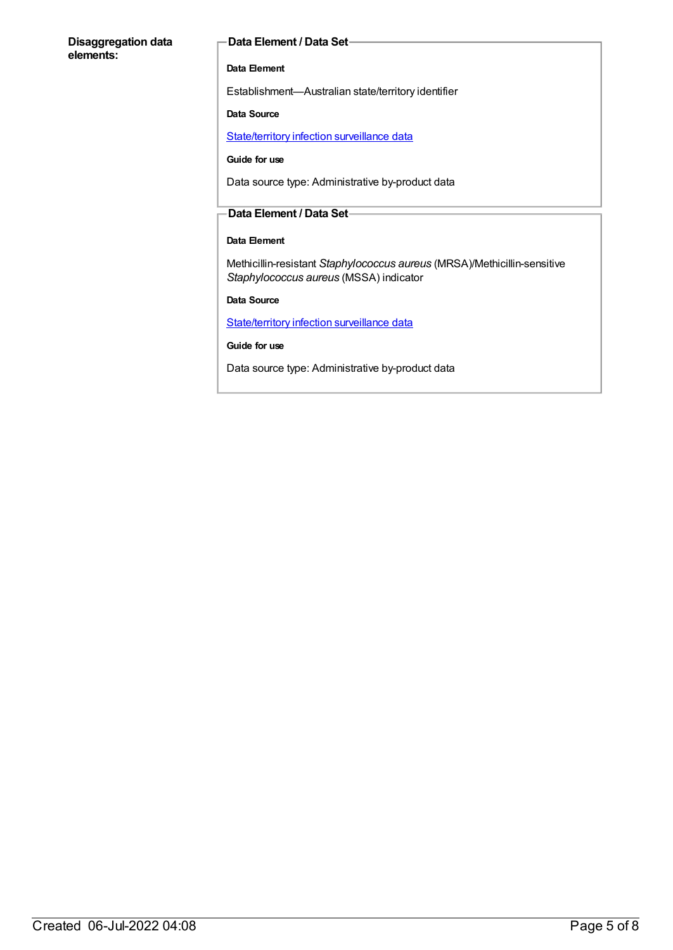#### **Disaggregation data elements:**

#### **Data Element / Data Set**

#### **Data Element**

Establishment—Australian state/territory identifier

#### **Data Source**

[State/territory](https://meteor.aihw.gov.au/content/402699) infection surveillance data

#### **Guide for use**

Data source type: Administrative by-product data

#### **Data Element / Data Set**

### **Data Element**

Methicillin-resistant *Staphylococcus aureus* (MRSA)/Methicillin-sensitive *Staphylococcus aureus* (MSSA) indicator

**Data Source**

[State/territory](https://meteor.aihw.gov.au/content/402699) infection surveillance data

**Guide for use**

Data source type: Administrative by-product data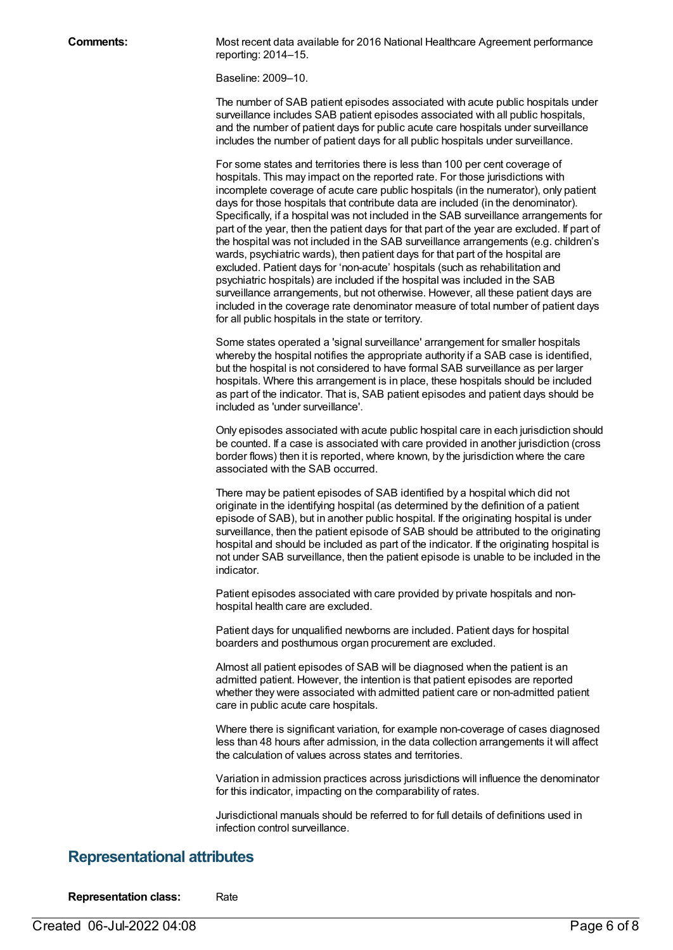**Comments:** Most recent data available for 2016 National Healthcare Agreement performance reporting: 2014–15.

Baseline: 2009–10.

The number of SAB patient episodes associated with acute public hospitals under surveillance includes SAB patient episodes associated with all public hospitals, and the number of patient days for public acute care hospitals under surveillance includes the number of patient days for all public hospitals under surveillance.

For some states and territories there is less than 100 per cent coverage of hospitals. This may impact on the reported rate. For those jurisdictions with incomplete coverage of acute care public hospitals (in the numerator), only patient days for those hospitals that contribute data are included (in the denominator). Specifically, if a hospital was not included in the SAB surveillance arrangements for part of the year, then the patient days for that part of the year are excluded. If part of the hospital was not included in the SAB surveillance arrangements (e.g. children's wards, psychiatric wards), then patient days for that part of the hospital are excluded. Patient days for 'non-acute' hospitals (such as rehabilitation and psychiatric hospitals) are included if the hospital was included in the SAB surveillance arrangements, but not otherwise. However, all these patient days are included in the coverage rate denominator measure of total number of patient days for all public hospitals in the state or territory.

Some states operated a 'signal surveillance' arrangement for smaller hospitals whereby the hospital notifies the appropriate authority if a SAB case is identified, but the hospital is not considered to have formal SAB surveillance as per larger hospitals. Where this arrangement is in place, these hospitals should be included as part of the indicator. That is, SAB patient episodes and patient days should be included as 'under surveillance'.

Only episodes associated with acute public hospital care in each jurisdiction should be counted. If a case is associated with care provided in another jurisdiction (cross border flows) then it is reported, where known, by the jurisdiction where the care associated with the SAB occurred.

There may be patient episodes of SAB identified by a hospital which did not originate in the identifying hospital (as determined by the definition of a patient episode of SAB), but in another public hospital. If the originating hospital is under surveillance, then the patient episode of SAB should be attributed to the originating hospital and should be included as part of the indicator. If the originating hospital is not under SAB surveillance, then the patient episode is unable to be included in the indicator.

Patient episodes associated with care provided by private hospitals and nonhospital health care are excluded.

Patient days for unqualified newborns are included. Patient days for hospital boarders and posthumous organ procurement are excluded.

Almost all patient episodes of SAB will be diagnosed when the patient is an admitted patient. However, the intention is that patient episodes are reported whether they were associated with admitted patient care or non-admitted patient care in public acute care hospitals.

Where there is significant variation, for example non-coverage of cases diagnosed less than 48 hours after admission, in the data collection arrangements it will affect the calculation of values across states and territories.

Variation in admission practices across jurisdictions will influence the denominator for this indicator, impacting on the comparability of rates.

Jurisdictional manuals should be referred to for full details of definitions used in infection control surveillance.

### **Representational attributes**

**Representation class:** Rate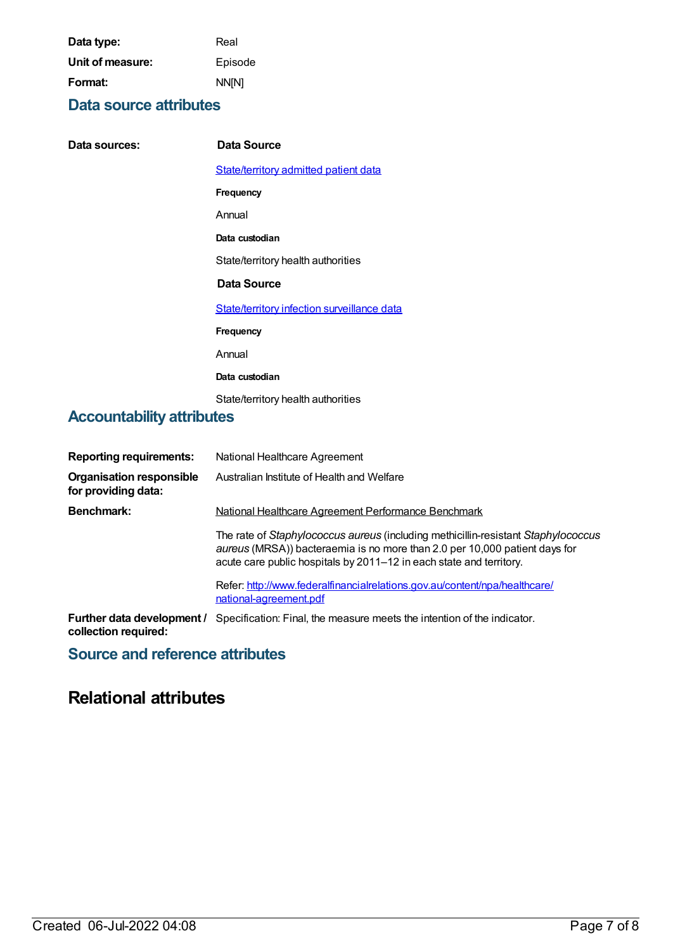| Data type:       | Real         |
|------------------|--------------|
| Unit of measure: | Episode      |
| Format:          | <b>NN[N]</b> |

### **Data source attributes**

| Data sources: | Data Source                                  |
|---------------|----------------------------------------------|
|               | <b>State/territory admitted patient data</b> |
|               | Frequency                                    |
|               | Annual                                       |
|               | Data custodian                               |
|               | State/territory health authorities           |
|               | Data Source                                  |
|               | State/territory infection surveillance data  |
|               | Frequency                                    |
|               | Annual                                       |
|               | Data custodian                               |
|               | State/territory health authorities           |

# **Accountability attributes**

| <b>Reporting requirements:</b>                         | National Healthcare Agreement                                                                                                                                                                                                          |
|--------------------------------------------------------|----------------------------------------------------------------------------------------------------------------------------------------------------------------------------------------------------------------------------------------|
| <b>Organisation responsible</b><br>for providing data: | Australian Institute of Health and Welfare                                                                                                                                                                                             |
| <b>Benchmark:</b>                                      | National Healthcare Agreement Performance Benchmark                                                                                                                                                                                    |
|                                                        | The rate of Staphylococcus aureus (including methicillin-resistant Staphylococcus<br>aureus (MRSA)) bacteraemia is no more than 2.0 per 10,000 patient days for<br>acute care public hospitals by 2011–12 in each state and territory. |
|                                                        | Refer: http://www.federalfinancialrelations.gov.au/content/npa/healthcare/<br>national-agreement.pdf                                                                                                                                   |
| Further data development /<br>collection required:     | Specification: Final, the measure meets the intention of the indicator.                                                                                                                                                                |

# **Source and reference attributes**

# **Relational attributes**